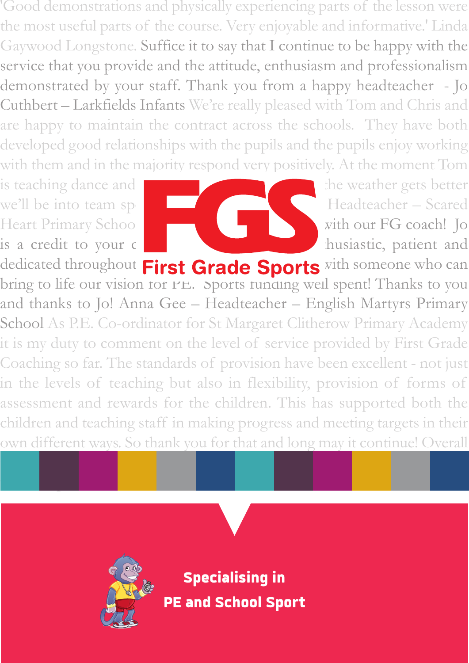'Good demonstrations and physically experiencing parts of the lesson were the most useful parts of the course. Very enjoyable and informative.' Linda Gaywood Longstone. Suffice it to say that I continue to be happy with the service that you provide and the attitude, enthusiasm and professionalism demonstrated by your staff. Thank you from a happy headteacher - Jo Cuthbert – Larkfields Infants We're really pleased with Tom and Chris and are happy to maintain the contract across the schools. They have both developed good relationships with the pupils and the pupils enjoy working with them and in the majority respond very positively. At the moment Tom

is teaching dance and Chris gymnastics, the weather gets better

with the provision so far.



dedicated throughout First Grade Sports with someone who can bring to life our vision for PE. Sports funding well spent! Thanks to you and thanks to Jo! Anna Gee – Headteacher – English Martyrs Primary School As P.E. Co-ordinator for St Margaret Clitherow Primary Academy it is my duty to comment on the level of service provided by First Grade Coaching so far. The standards of provision have been excellent - not just in the levels of teaching but also in flexibility, provision of forms of assessment and rewards for the children. This has supported both the children and teaching staff in making progress and meeting targets in their own different ways. So thank you for that and long may it continue! Overall

the teaching staff and more importantly the children are more than pleased



**Specialising in PE and School Sport**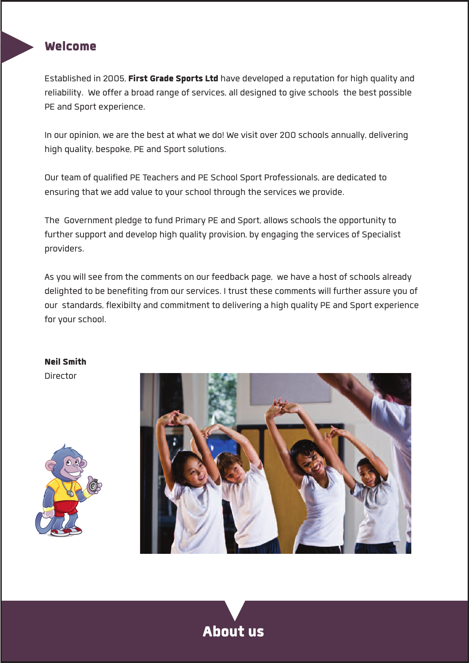## **Welcome**

**Established in 2005, First Grade Sports Ltd have developed a reputation for high quality and reliability. We offer a broad range ofservices, all designed to give schools the best possible PE and Sport experience.**

**In our opinion, we are the best at what we do! We visit over 200 schools annually, delivering high quality, bespoke, PE and Sportsolutions.**

**Our team of qualified PE Teachers and PE School Sport Professionals, are dedicated to ensuring that we add value to yourschool through the services we provide.**

**The Government pledge to fund Primary PE and Sport, allowsschoolsthe opportunityto furthersupport and develop high quality provision, by engaging the services of Specialist providers.**

**Asyou willsee from the comments on our feedback page, we have a host ofschools already delighted to be benefiting from ourservices. I trust these comments will further assure you of our standards, flexibilty and commitment to delivering a high quality PE and Sport experience** for your school.

### **Neil Smith**

**Director**





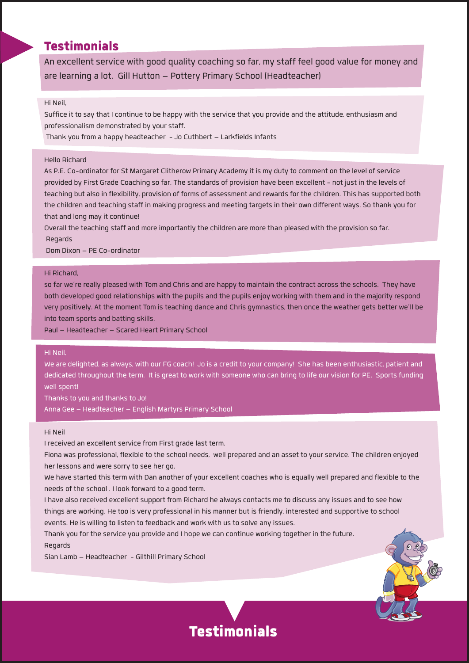## **Testimonials**

**An excellentservice with good qualitycoaching so far, mystaff feel good value for money and are learning a lot. Gill Hutton – Pottery Primary School (Headteacher)**

#### **Hi Neil,**

Suffice it to say that I continue to be happy with the service that you provide and the attitude, enthusiasm and **professionalism demonstrated byyourstaff.**

**Thank you from a happy headteacher -Jo Cuthbert – LarkfieldsInfants**

#### **Hello Richard**

As P.E. Co-ordinator for St Margaret Clitherow Primary Academy it is my duty to comment on the level of service provided by First Grade Coaching so far. The standards of provision have been excellent - not just in the levels of teaching but also in flexibility, provision of forms of assessment and rewards for the children. This has supported both the children and teaching staff in making progress and meeting targets in their own different ways. So thank you for **that and long mayitcontinue!**

Overall the teaching staff and more importantly the children are more than pleased with the provision so far. **Regards**

**Dom Dixon – PE Co-ordinator**

#### **Hi Richard,**

so far we're really pleased with Tom and Chris and are happy to maintain the contract across the schools. They have both developed good relationships with the pupils and the pupils enjoy working with them and in the majority respond very positively. At the moment Tom is teaching dance and Chris gymnastics, then once the weather gets better we'll be **into team sports and batting skills.**

**Paul – Headteacher – Scared Heart Primary School**

#### **Hi Neil,**

We are delighted, as always, with our FG coach! Jo is a credit to your company! She has been enthusiastic, patient and dedicated throughout the term. It is great to work with someone who can bring to life our vision for PE. Sports funding **wellspent!**

**Thanksto you and thanksto Jo! Anna Gee – Headteacher – English Martyrs Primary School**

#### **Hi Neil**

**I received an excellentservice from First grade last term.**

Fiona was professional, flexible to the school needs, well prepared and an asset to your service. The children enjoyed **her lessons and were sorryto see her go.**

We have started this term with Dan another of your excellent coaches who is equally well prepared and flexible to the **needs of the school . I look forward to a good term.**

I have also received excellent support from Richard he always contacts me to discuss any issues and to see how things are working. He too is very professional in his manner but is friendly, interested and supportive to school **events. He is willing to listen to feedback and work with usto solve anyissues.**

**Thank you for the service you provide and I hope we can continue working together in the future. Regards**

**Sian Lamb – Headteacher - Gilthill Primary School**



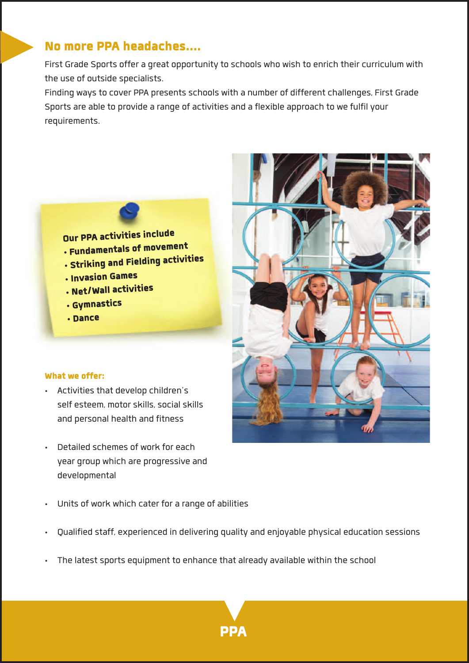# **No more PPA headaches….**

**First Grade Sports offer a great opportunityto schools who wish to enrich theircurriculum with the use of outside specialists.**

**Finding waysto cover PPA presentsschools with a number of differentchallenges, First Grade Sports are able to provide a range of activities and a flexible approach to we fulfilyour requirements.**

**Our PPA activitiesinclude**

- **• Fundamentals of movement**
- **• Striking and Fielding activities**
- **• Invasion Games**
- **• Net/Wallactivities**
- **• Gymnastics**
- **• Dance**

#### **What we offer:**

- **• Activitiesthat develop children's self esteem, motorskills,socialskills and personal health and fitness**
- **• Detailed schemes of work for each year group which are progressive and developmental**
- **• Units of work which cater for a range of abilities**
- **• Qualified staff, experienced in delivering quality and enjoyable physical education sessions**
- **• The latestsports equipment to enhance that already available within the school**



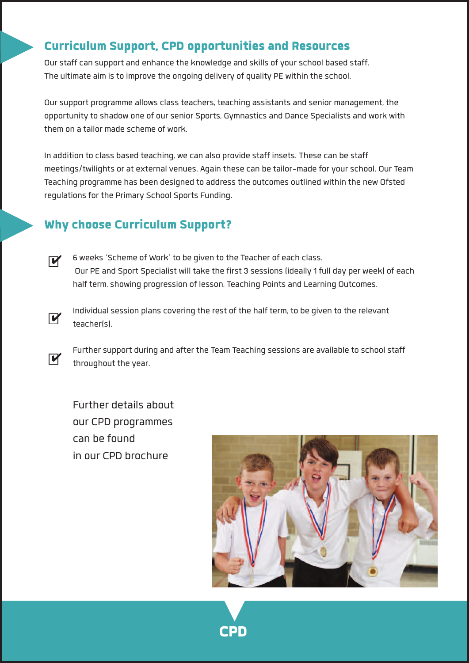# **Curriculum Support, CPD opportunitiesand Resources**

**Ourstaffcan support and enhance the knowledge and skills ofyourschool based staff. The ultimate aim isto improve the ongoing delivery of quality PE within the school.**

**Oursupport programme allowsclassteachers, teaching assistants and senior management, the opportunityto shadow one of oursenior Sports, Gymnastics and Dance Specialists and work with them on a tailor made scheme of work.**

**In addition to class based teaching, we can also provide staff insets. These can be staff meetings/twilights or at externalvenues. Again these can be tailor-made foryourschool. Our Team Teaching programme has been designed to addressthe outcomes outlined within the new Ofsted regulationsfor the Primary School Sports Funding.**

# **Why choose Curriculum Support?**

- **6 weeks'Scheme of Work' to be given to the Teacher of each class. Our PE and Sport Specialist will take the first 3 sessions(ideally1 full day per week) of each half term,showing progression of lesson, Teaching Points and Learning Outcomes.**  $\overline{\mathbf{v}}$
- **Individualsession planscovering the rest of the half term, to be given to the relevant teacher(s).**  $\overline{\mathbf{v}}$

**Furthersupport during and after the Team Teaching sessions are available to schoolstaff throughout the year.**  $\overline{\mathbf{v}}$ 

**Further details about our CPD programmes can be found in our CPD brochure**



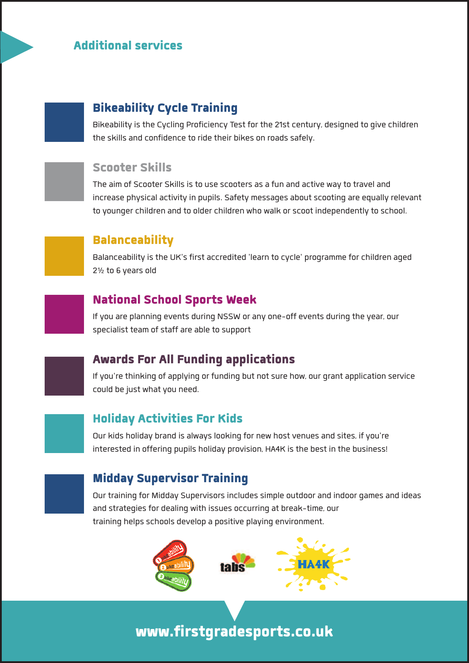# **Additionalservices**

### **Bikeability Cycle Training**

**Bikeabilityisthe Cycling Proficiency Test for the 21stcentury, designed to give children the skills and confidence to ride their bikes on roadssafely.**

### **Scooter Skills**

**The aim of Scooter Skillsisto use scooters as a fun and active wayto travel and increase physical activityin pupils. Safety messages aboutscooting are equallyrelevant to youngerchildren and to olderchildren who walk orscoot independentlyto school.**



### **Balanceability**

**Balanceabilityisthe UK'sfirst accredited 'learn to cycle' programme forchildren aged 2½ to 6 years old**



### **National School Sports Week**

**Ifyou are planning events during NSSW or any one-off events during the year, our specialist team ofstaff are able to support**



## **Awards For All Funding applications**

**Ifyou're thinking of applying or funding but notsure how, our grant application service could be just whatyou need.**

# **Holiday Activities For Kids**

**Our kids holiday brand is alwayslooking for new hostvenues and sites, ifyou're interested in offering pupils holiday provision, HA4K isthe best in the business!**



## **Midday Supervisor Training**

**Our training for Midday Supervisorsincludessimple outdoor and indoor games and ideas and strategiesfor dealing with issues occurring at break-time, our training helpsschools develop a positive playing environment.**



**www.firstgradesports.co.uk**